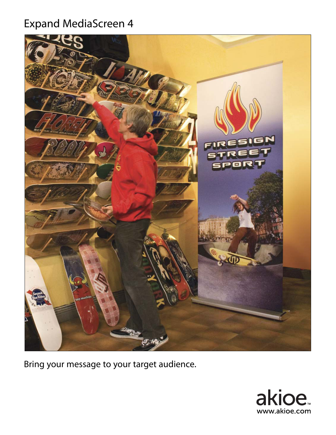## Expand MediaScreen 4



Bring your message to your target audience.